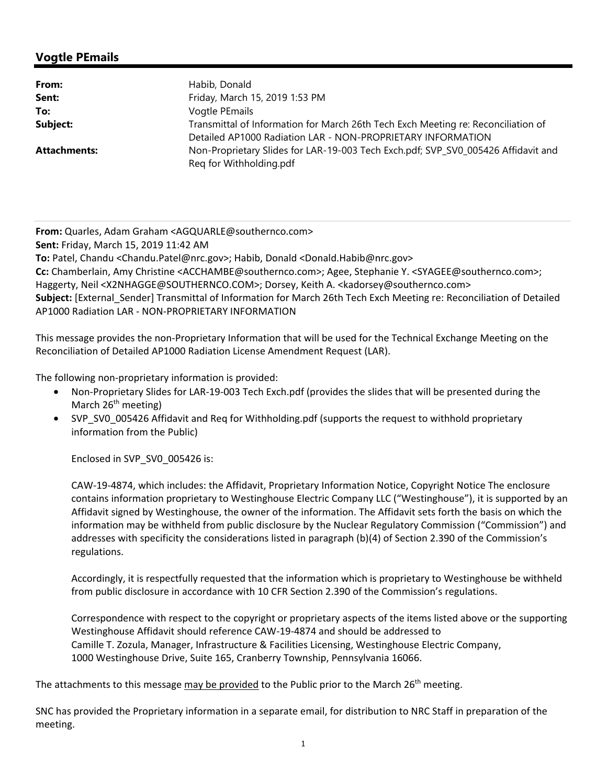### **Vogtle PEmails**

| From:               | Habib, Donald                                                                                                                                    |
|---------------------|--------------------------------------------------------------------------------------------------------------------------------------------------|
| Sent:               | Friday, March 15, 2019 1:53 PM                                                                                                                   |
| To:                 | Vogtle PEmails                                                                                                                                   |
| Subject:            | Transmittal of Information for March 26th Tech Exch Meeting re: Reconciliation of<br>Detailed AP1000 Radiation LAR - NON-PROPRIETARY INFORMATION |
| <b>Attachments:</b> | Non-Proprietary Slides for LAR-19-003 Tech Exch.pdf; SVP_SV0_005426 Affidavit and<br>Reg for Withholding.pdf                                     |

**From:** Quarles, Adam Graham <AGQUARLE@southernco.com>

**Sent:** Friday, March 15, 2019 11:42 AM

**To:** Patel, Chandu <Chandu.Patel@nrc.gov>; Habib, Donald <Donald.Habib@nrc.gov>

**Cc:** Chamberlain, Amy Christine <ACCHAMBE@southernco.com>; Agee, Stephanie Y. <SYAGEE@southernco.com>; Haggerty, Neil <X2NHAGGE@SOUTHERNCO.COM>; Dorsey, Keith A. <kadorsey@southernco.com> **Subject:** [External\_Sender] Transmittal of Information for March 26th Tech Exch Meeting re: Reconciliation of Detailed AP1000 Radiation LAR - NON-PROPRIETARY INFORMATION

This message provides the non-Proprietary Information that will be used for the Technical Exchange Meeting on the Reconciliation of Detailed AP1000 Radiation License Amendment Request (LAR).

The following non-proprietary information is provided:

- Non-Proprietary Slides for LAR-19-003 Tech Exch.pdf (provides the slides that will be presented during the March 26<sup>th</sup> meeting)
- SVP\_SV0\_005426 Affidavit and Req for Withholding.pdf (supports the request to withhold proprietary information from the Public)

Enclosed in SVP\_SV0\_005426 is:

CAW-19-4874, which includes: the Affidavit, Proprietary Information Notice, Copyright Notice The enclosure contains information proprietary to Westinghouse Electric Company LLC ("Westinghouse"), it is supported by an Affidavit signed by Westinghouse, the owner of the information. The Affidavit sets forth the basis on which the information may be withheld from public disclosure by the Nuclear Regulatory Commission ("Commission") and addresses with specificity the considerations listed in paragraph (b)(4) of Section 2.390 of the Commission's regulations.

Accordingly, it is respectfully requested that the information which is proprietary to Westinghouse be withheld from public disclosure in accordance with 10 CFR Section 2.390 of the Commission's regulations.

Correspondence with respect to the copyright or proprietary aspects of the items listed above or the supporting Westinghouse Affidavit should reference CAW-19-4874 and should be addressed to Camille T. Zozula, Manager, Infrastructure & Facilities Licensing, Westinghouse Electric Company, 1000 Westinghouse Drive, Suite 165, Cranberry Township, Pennsylvania 16066.

The attachments to this message may be provided to the Public prior to the March 26<sup>th</sup> meeting.

SNC has provided the Proprietary information in a separate email, for distribution to NRC Staff in preparation of the meeting.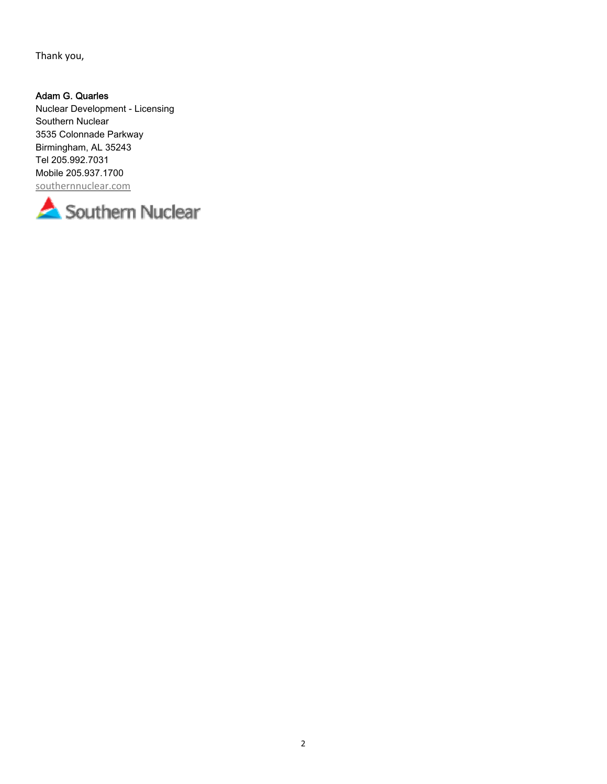Thank you,

### Adam G. Quarles

Nuclear Development - Licensing Southern Nuclear 3535 Colonnade Parkway Birmingham, AL 35243 Tel 205.992.7031 Mobile 205.937.1700 southernnuclear.com

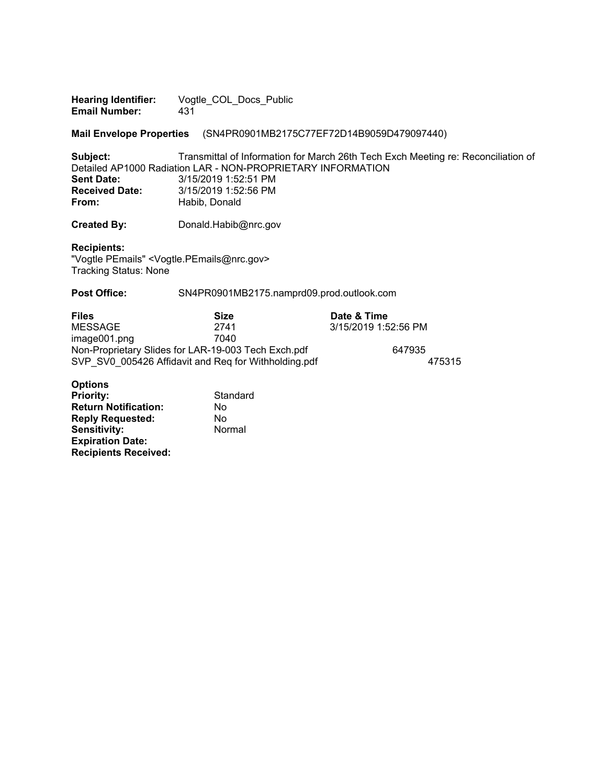**Hearing Identifier:** Vogtle\_COL\_Docs\_Public<br> **Email Number:** 431 **Email Number:** 

**Mail Envelope Properties** (SN4PR0901MB2175C77EF72D14B9059D479097440)

**Subject:** Transmittal of Information for March 26th Tech Exch Meeting re: Reconciliation of Detailed AP1000 Radiation LAR - NON-PROPRIETARY INFORMATION<br>Sent Date: 3/15/2019 1:52:51 PM **Sent Date:** 3/15/2019 1:52:51 PM **Received Date:** <sup>3/15/2019 1:52:56 PM<br> **From:** Habib. Donald</sup> **From:** Habib, Donald

**Created By:** Donald.Habib@nrc.gov

**Recipients:**  "Vogtle PEmails" <Vogtle.PEmails@nrc.gov> Tracking Status: None

Post Office: SN4PR0901MB2175.namprd09.prod.outlook.com

| <b>Files</b>                                         | Size | Date & Time          |        |
|------------------------------------------------------|------|----------------------|--------|
| MESSAGE                                              | 2741 | 3/15/2019 1:52:56 PM |        |
| image001.png                                         | 7040 |                      |        |
| Non-Proprietary Slides for LAR-19-003 Tech Exch.pdf  |      | 647935               |        |
| SVP SV0 005426 Affidavit and Reg for Withholding.pdf |      |                      | 475315 |

#### **Options**

| <b>Priority:</b>            | Standard |
|-----------------------------|----------|
| <b>Return Notification:</b> | No       |
| <b>Reply Requested:</b>     | No       |
| <b>Sensitivity:</b>         | Normal   |
| <b>Expiration Date:</b>     |          |
| <b>Recipients Received:</b> |          |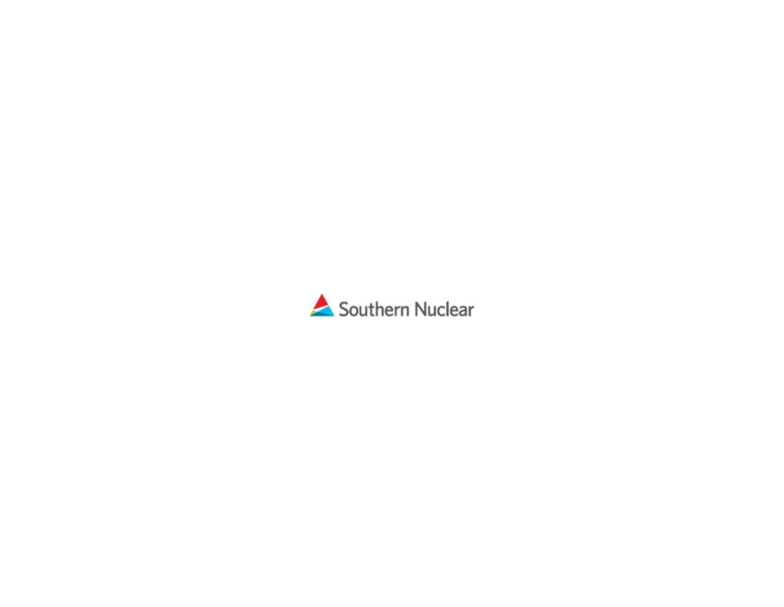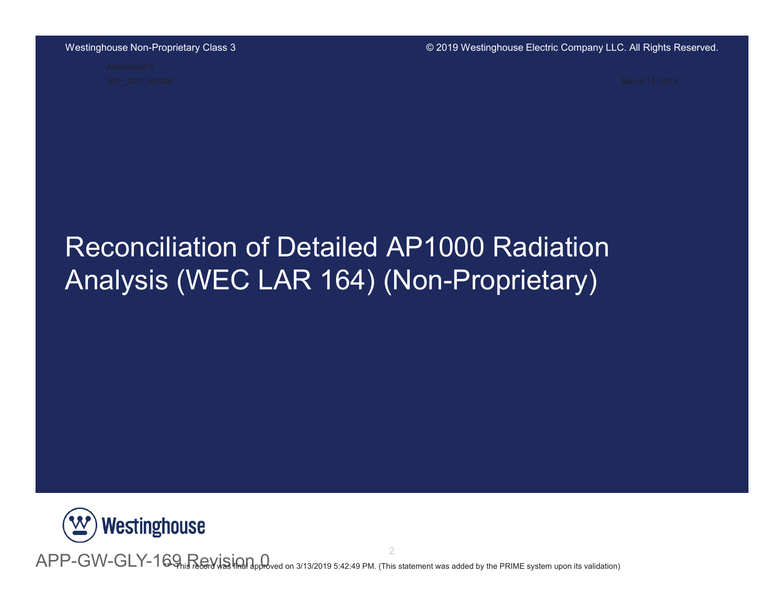$\odot$  2019 Westinghouse Electric Company LLC. All Rights Reserved.

# Reconciliation of Detailed AP1000 Radiation Analysis (WEC LAR 164) (Non-Proprietary)



 ${\sf APP-GW-GLY-169}$  Revision and 3/13/2019 5:42:49 PM. (This statement was added by the PRIME system upon its validation)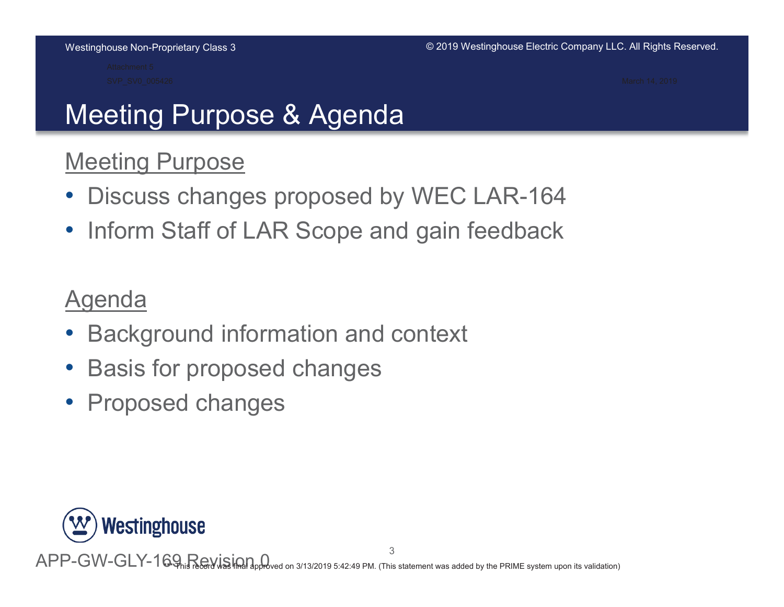# Meeting Purpose & Agenda

### **Meeting Purpose**

- $\bullet$ Discuss changes proposed by WEC LAR-164
- $\bullet$ Inform Staff of LAR Scope and gain feedback

### Agenda

- $\bullet$ Background information and context
- $\bullet$ Basis for proposed changes
- $\bullet$ **Proposed changes**



APP-GW-GLY-169, Revision Q .<br>2019 5:42:49 PM. (This statement was added by the PRIME system upon its validation)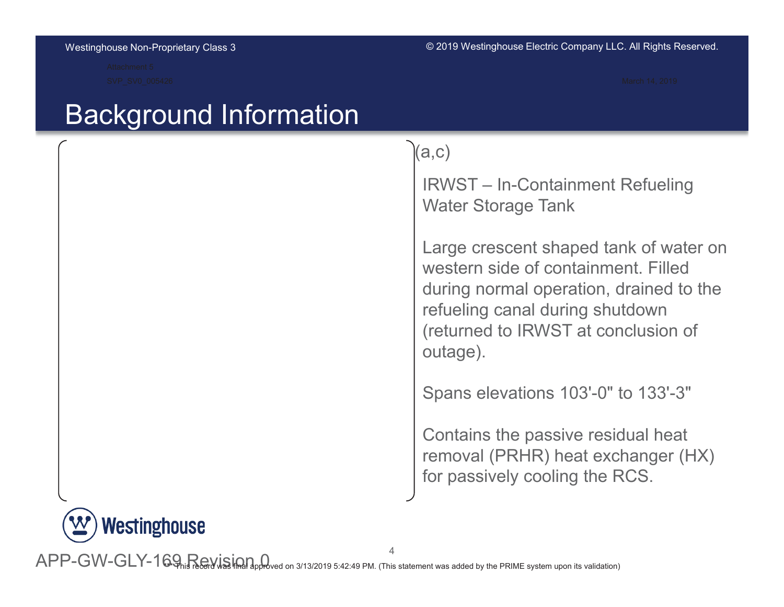## Background Information

 $(a, c)$ 

IRWST – In-Containment Refueling Water Storage Tank

Large crescent shaped tank of water on western side of containment. Filled during normal operation, drained to the refueling canal during shutdown (returned to IRWST at conclusion of outage).

Spans elevations 103'-0" to 133'-3"

Contains the passive residual heat removal (PRHR) heat exchanger (HX) for passively cooling the RCS.



 ${\sf APP-GW-GLY-169}$  Revision) and 3/13/2019 5:42:49 PM. (This statement was added by the PRIME system upon its validation)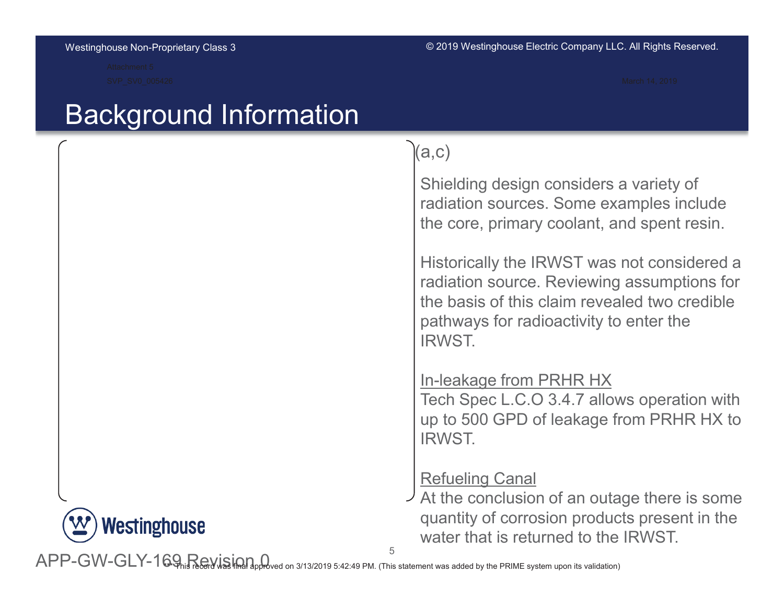## Background Information



### $(a, c)$

Shielding design considers a variety of radiation sources. Some examples include the core, primary coolant, and spent resin.

Historically the IRWST was not considered a radiation source. Reviewing assumptions for the basis of this claim revealed two credible pathways for radioactivity to enter the IRWST

### In-leakage from PRHR HX

Tech Spec L.C.O 3.4.7 allows operation with up to 500 GPD of leakage from PRHR HX to IRWST

### Refueling Canal

At the conclusion of an outage there is some quantity of corrosion products present in the water that is returned to the IRWST

5

APP-GW-GLY-169, Revision Q 19 5:42:49 PM. (This statement was added by the PRIME system upon its validation)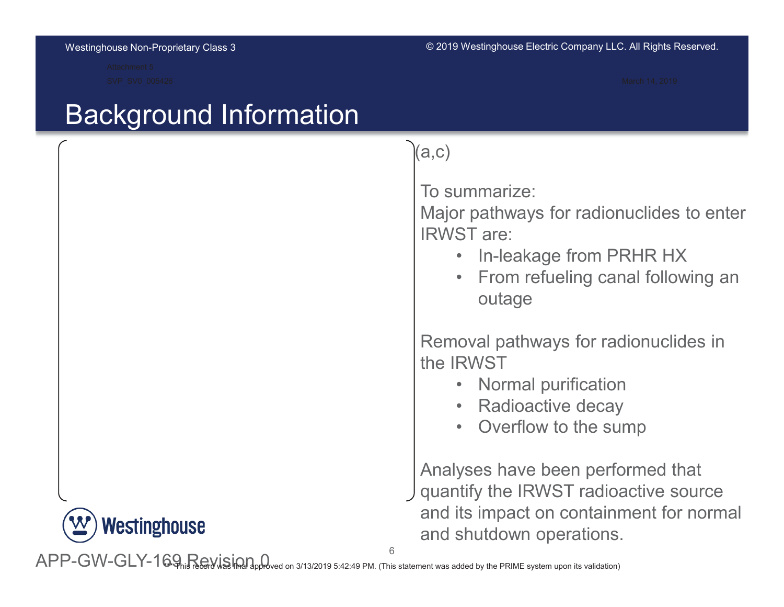## **Background Information**



### $(a, c)$

To summarize:

Major pathways for radionuclides to enter IRWST are:

- In-leakage from PRHR HX
- $\bullet$ From refueling canal following an outage

Removal pathways for radionuclides in the IRWST

- Normal purification
- Radioactive decay
- Overflow to the sump

Analyses have been performed that quantify the IRWST radioactive source and its impact on containment for normal and shutdown operations.

 $6\overline{6}$ 

APP-GW-GLY-169, Revision Q 2019 5:42:49 PM. (This statement was added by the PRIME system upon its validation)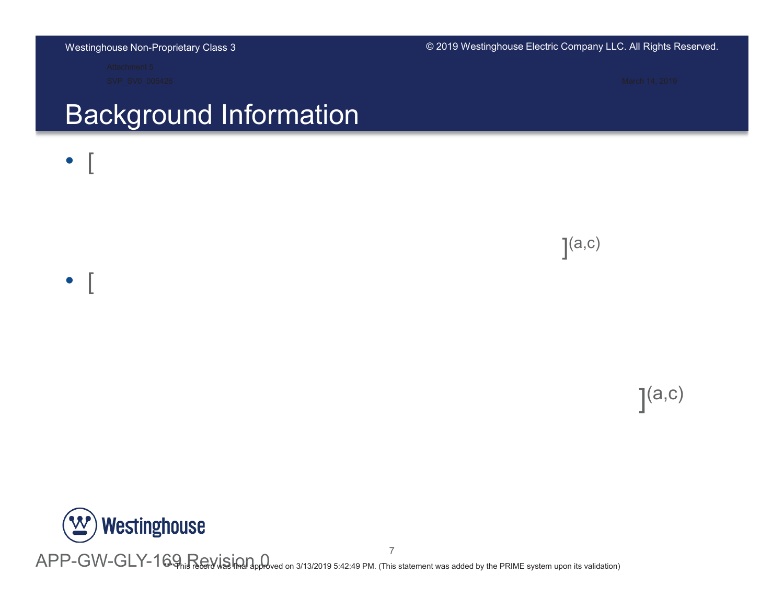#### © 2019 Westinghouse Electric Company LLC. All Rights Reserved.

# **Background Information**



 $(a, c)$ 



APP-GW-GLY-169 Revising the 3/13/2019 5:42:49 PM. (This statement was added by the PRIME system upon its validation)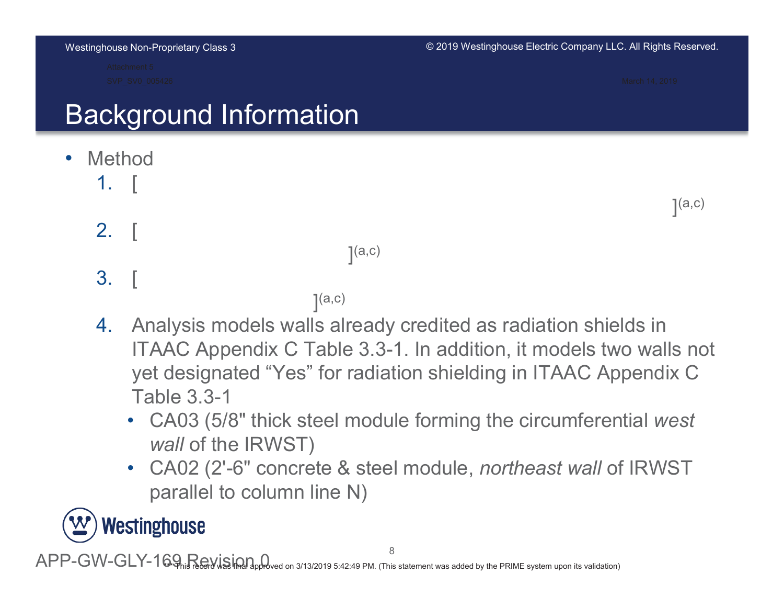$\odot$  2019 Westinghouse Electric Company LLC. All Rights Reserved.

 $(a, c)$ 

# Background Information

- $\bullet$ Method
	- $1.$  $\mathcal{L}=\left\{ \begin{array}{cc} 0 & \text{if } \mathcal{L} \in \mathbb{R}^n, \ \mathcal{L} \in \mathbb{R}^n, \ \mathcal{L} \in \mathbb{R}^n, \ \mathcal{L} \in \mathbb{R}^n, \ \mathcal{L} \in \mathbb{R}^n, \ \mathcal{L} \in \mathbb{R}^n, \ \mathcal{L} \in \mathbb{R}^n, \ \mathcal{L} \in \mathbb{R}^n, \ \mathcal{L} \in \mathbb{R}^n, \ \mathcal{L} \in \mathbb{R}^n, \ \mathcal{L} \in \mathbb{R}^$
	- $2.$  $\mathcal{L}=\left\{ \begin{array}{cc} 0 & \text{if } \mathcal{L} \in \mathbb{R}^n, \ \mathcal{L} \in \mathbb{R}^n, \ \mathcal{L} \in \mathbb{R}^n, \ \mathcal{L} \in \mathbb{R}^n, \ \mathcal{L} \in \mathbb{R}^n, \ \mathcal{L} \in \mathbb{R}^n, \ \mathcal{L} \in \mathbb{R}^n, \ \mathcal{L} \in \mathbb{R}^n, \ \mathcal{L} \in \mathbb{R}^n, \ \mathcal{L} \in \mathbb{R}^n, \ \mathcal{L} \in \mathbb{R}^$

 $(a,c)$ 

- $3.$  $\mathcal{L}=\left\{ \begin{array}{cc} 0 & \text{if } \mathcal{L} \in \mathbb{R}^n, \ \mathcal{L} \in \mathbb{R}^n, \ \mathcal{L} \in \mathbb{R}^n, \ \mathcal{L} \in \mathbb{R}^n, \ \mathcal{L} \in \mathbb{R}^n, \ \mathcal{L} \in \mathbb{R}^n, \ \mathcal{L} \in \mathbb{R}^n, \ \mathcal{L} \in \mathbb{R}^n, \ \mathcal{L} \in \mathbb{R}^n, \ \mathcal{L} \in \mathbb{R}^n, \ \mathcal{L} \in \mathbb{R}^$ 
	- $(a,c)$
- 4. Analysis models walls already credited as radiation shields in ITAAC Appendix C Table 3.3-1. In addition, it models two walls not yet designated "Yes" for radiation shielding in ITAAC Appendix C Table  $3.3-1$ 
	- CA03 (5/8" thick steel module forming the circumferential west *wall* of the IRWST)
	- CA02 (2'-6" concrete & steel module, *northeast wall* of IRWST parallel to column line  $N$ )

# Westinghouse

APP-GW-GLY-169, Revision Q 2019 5:42:49 PM. (This statement was added by the PRIME system upon its validation)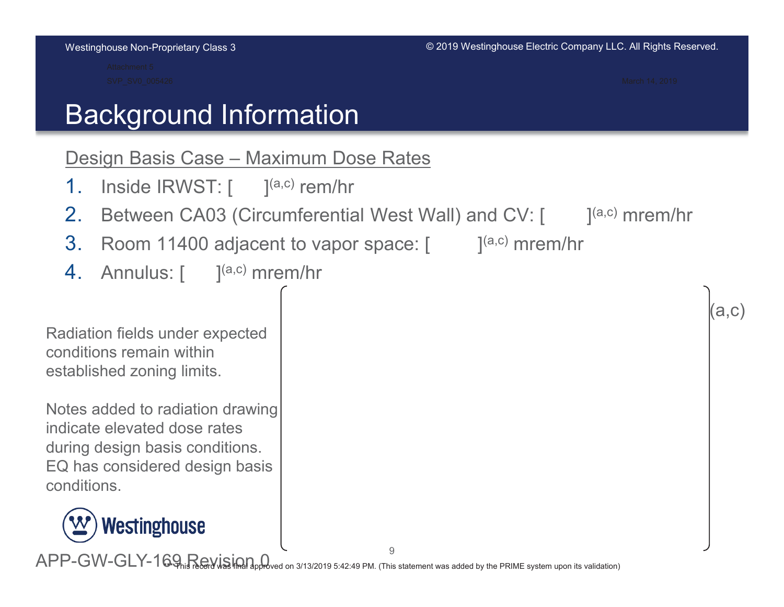# Background Information

### Design Basis Case - Maximum Dose Rates

- $1_{-}$ Inside  $IRWST:$   $[$   $]^{(a,c)}$  rem/hr
- 2. Between CA03 (Circumferential West Wall) and CV: [  $\blacksquare$  ]<sup>(a,c)</sup> mrem/hr
- 3. Room 11400 adjacent to vapor space:  $[$  [a,c) mrem/hr
- $4.$  Annulus: [  $^{(a,c)}$  mrem/hr

Radiation fields under expected conditions remain within established zoning limits.

Notes added to radiation drawing indicate elevated dose rates during design basis conditions. EQ has considered design basis conditions



 $(a, c)$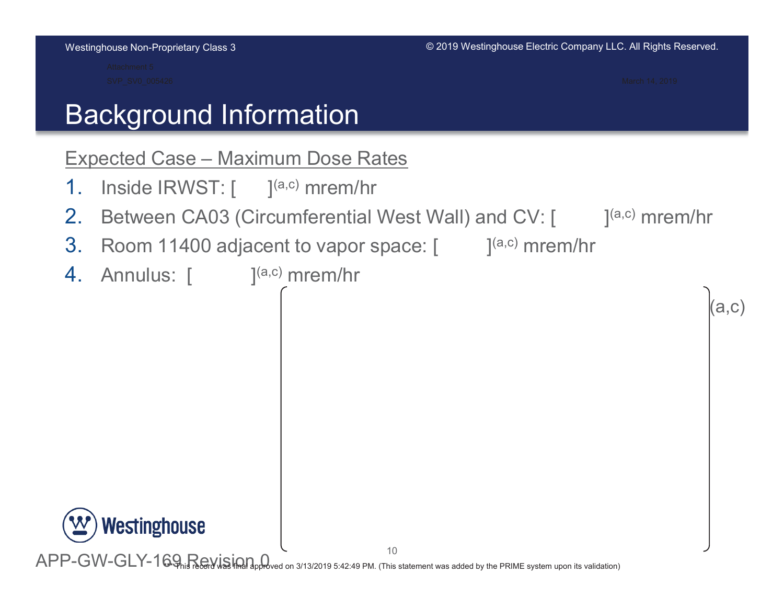$(a.c)$ 

# Background Information

### Expected Case - Maximum Dose Rates

- $1_{-}$ Inside IRWST:  $\left[ \right.$   $\right]^{(a,c)}$  mrem/hr
- 2. Between CA03 (Circumferential West Wall) and CV: [  $\blacksquare$  ]<sup>(a,c)</sup> mrem/hr
- 3. Room 11400 adjacent to vapor space:  $[$  [a,c) mrem/hr
- **4.** Annulus: [  $\qquad$  ]<sup>(a,c)</sup> mrem/hr

```
Westinghouse
```
APP-GW-GLY-169 Revising the 3/13/2019 5:42:49 PM. (This statement was added by the PRIME system upon its validation)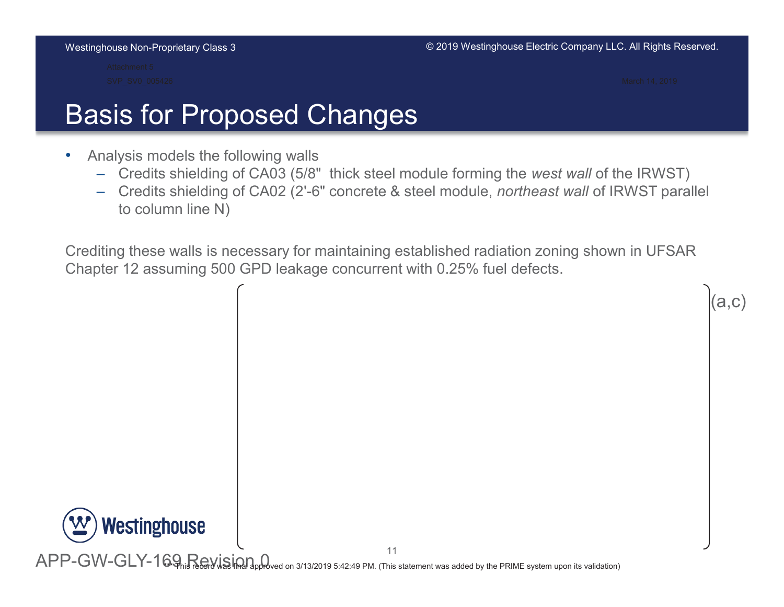**Westinghouse** 

# Basis for Proposed Changes

- $\bullet$ Analysis models the following walls
	- $-$  Credits shielding of CA03 (5/8" thick steel module forming the *west wall* of the IRWST)
	- $-$  Credits shielding of CA02 (2'-6" concrete & steel module, *northeast wall* of IRWST parallel to column line  $N$ )

Crediting these walls is necessary for maintaining established radiation zoning shown in UFSAR Chapter 12 assuming 500 GPD leakage concurrent with 0.25% fuel defects.

 $11$ APP-GW-GLY-169, Revision Q  $(\mathsf{a}.\mathsf{c})$ 2019 5:42:49 PM. (This statement was added by the PRIME system upon its validation)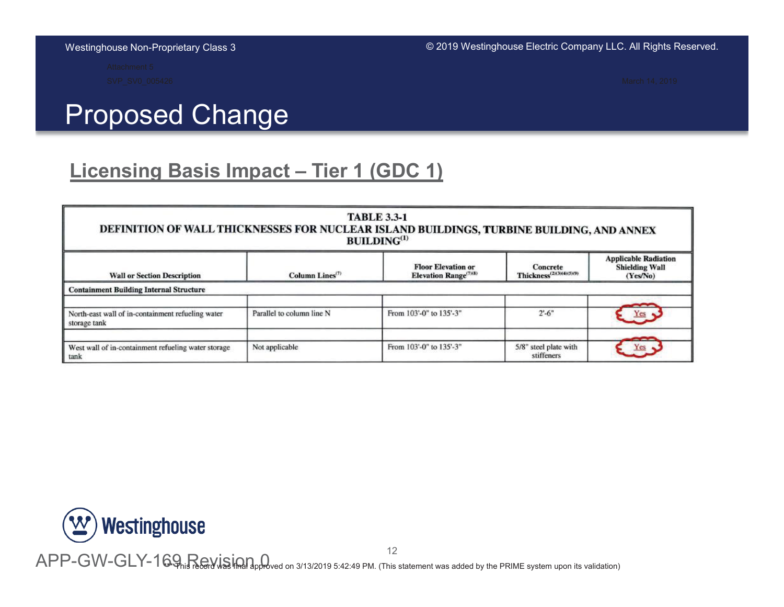# **Proposed Change**

### **Licensing Basis Impact - Tier 1 (GDC 1)**

| DEFINITION OF WALL THICKNESSES FOR NUCLEAR ISLAND BUILDINGS, TURBINE BUILDING, AND ANNEX |                                          | <b>TABLE 3.3-1</b><br>BULDING <sup>(1)</sup>                   |                                                  |                                                                  |
|------------------------------------------------------------------------------------------|------------------------------------------|----------------------------------------------------------------|--------------------------------------------------|------------------------------------------------------------------|
| <b>Wall or Section Description</b>                                                       | Column Lines <sup><math>(7)</math></sup> | <b>Floor Elevation or</b><br>Elevation Range <sup>(7)(8)</sup> | Concrete<br>Thickness <sup>(2)(3)(4)(5)(9)</sup> | <b>Applicable Radiation</b><br><b>Shielding Wall</b><br>(Yes/No) |
| <b>Containment Building Internal Structure</b>                                           |                                          |                                                                |                                                  |                                                                  |
| North-east wall of in-containment refueling water<br>storage tank                        | Parallel to column line N                | From 103'-0" to 135'-3"                                        | $2^{\circ}$ -6"                                  | Yes                                                              |
| West wall of in-containment refueling water storage<br>tank                              | Not applicable                           | From 103'-0" to 135'-3"                                        | 5/8" steel plate with<br>stiffeners              | <b>Yes</b>                                                       |



 ${\sf APP-GW-GLY-169}$  record on 3/13/2019 5:42:49 PM. (This statement was added by the PRIME system upon its validation)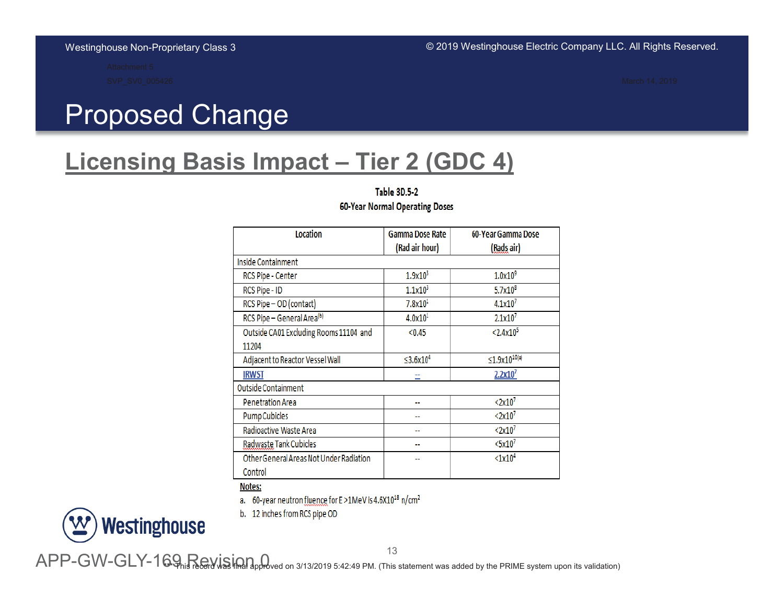# **Proposed Change**

### **Licensing Basis Impact - Tier 2 (GDC 4)**

**Table 3D.5-2** 60-Year Normal Operating Doses

| <b>Location</b>                         | <b>Gamma Dose Rate</b>     | 60-Year Gamma Dose           |  |
|-----------------------------------------|----------------------------|------------------------------|--|
|                                         | (Rad air hour)             | (Rads air)                   |  |
| Inside Containment                      |                            |                              |  |
| RCS Pipe - Center                       | 1.9x10 <sup>3</sup>        | $1.0\times10^9$              |  |
| RCS Pipe - ID                           | 1.1x10 <sup>3</sup>        | $5.7x10^{8}$                 |  |
| RCS Pipe - OD (contact)                 | 7.8x10 <sup>1</sup>        | 4.1x10 <sup>7</sup>          |  |
| RCS Pipe - General Area <sup>(b)</sup>  | 4.0x10 <sup>1</sup>        | 2.1x10 <sup>7</sup>          |  |
| Outside CA01 Excluding Rooms 11104 and  | < 0.45                     | < 2.4x10 <sup>5</sup>        |  |
| 11204                                   |                            |                              |  |
| Adjacent to Reactor Vessel Wall         | $\leq$ 3.6x10 <sup>4</sup> | $\leq 1.9 \times 10^{10(*)}$ |  |
| <b>IRWST</b>                            |                            | 2.2x10 <sup>7</sup>          |  |
| <b>Outside Containment</b>              |                            |                              |  |
| <b>Penetration Area</b>                 |                            | < 2x10 <sup>7</sup>          |  |
| <b>Pump Cubicles</b>                    |                            | < 2x10 <sup>7</sup>          |  |
| Radioactive Waste Area                  |                            | < 2x10 <sup>7</sup>          |  |
| Radwaste Tank Cubicles                  | --                         | $<$ 5x10 <sup>7</sup>        |  |
| Other General Areas Not Under Radiation | --                         | <1x10 <sup>4</sup>           |  |
| Control                                 |                            |                              |  |

Notes:

a. 60-year neutron fluence for E >1MeV is 4.6X10<sup>18</sup> n/cm<sup>2</sup>

b. 12 inches from RCS pipe OD



13

 ${\sf APP-GW-GLY-169}$  is  ${\sf Rayism}$  and  ${\sf a}$  and  ${\sf a}$  is  ${\sf a}$  and  ${\sf a}$  and  ${\sf a}$  and  ${\sf a}$  is  ${\sf a}$  and  ${\sf a}$  is  ${\sf a}$  and  ${\sf a}$  is  ${\sf a}$  and  ${\sf a}$  and  ${\sf a}$  is  ${\sf a}$  and  ${\sf a}$  and  ${\sf a}$  and  ${\sf a}$  is  ${\sf a}$  and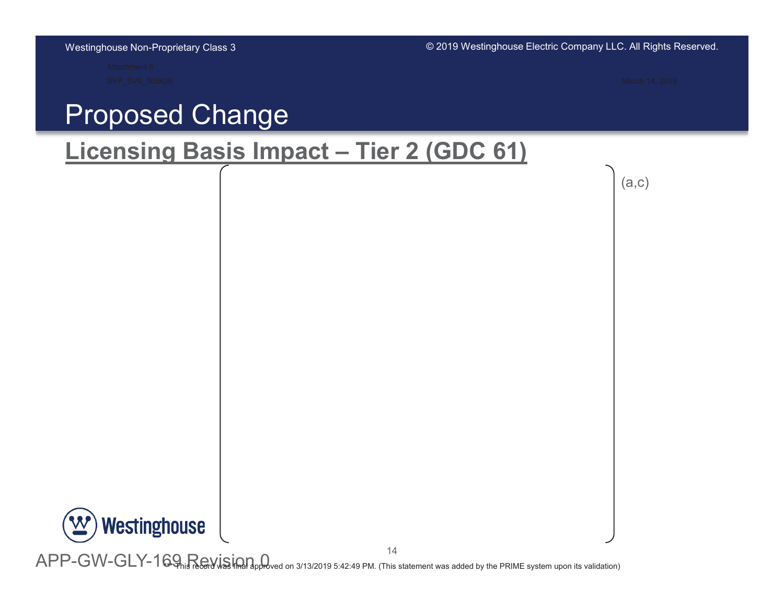## **Proposed Change**

### **Licensing Basis Impact - Tier 2 (GDC 61)**

 $(a, c)$ 

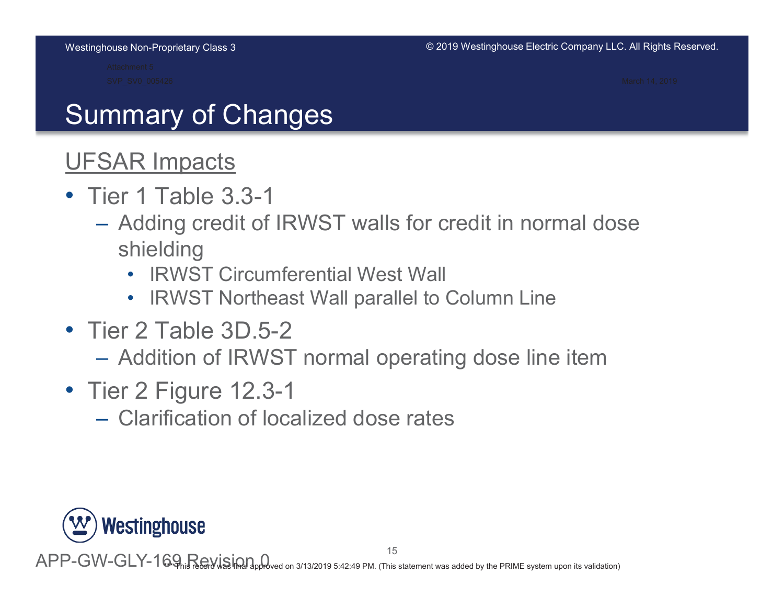# Summary of Changes

## **UFSAR Impacts**

- Tier 1 Table  $3.3-1$ 
	- Adding credit of IRWST walls for credit in normal dose shielding
		- IRWST Circumferential West Wall
		- IRWST Northeast Wall parallel to Column Line
- Tier 2 Table  $3D.5-2$ 
	- $-$  Addition of IRWST normal operating dose line item
- Tier 2 Figure 12.3-1
	- $-$  Clarification of localized dose rates

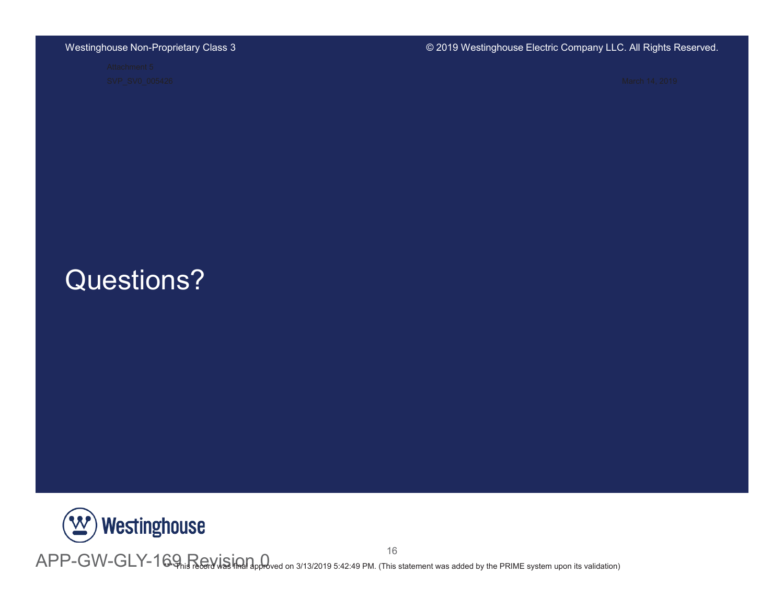### © 2019 Westinghouse Electric Company LLC. All Rights Reserved.

## Questions?



<sup>16</sup><br>APP-GW-GLY-169<sub>his record was included on 3/13/2019 5:42:49 PM. (This statement was added by the PRIME system upon its validation)</sub>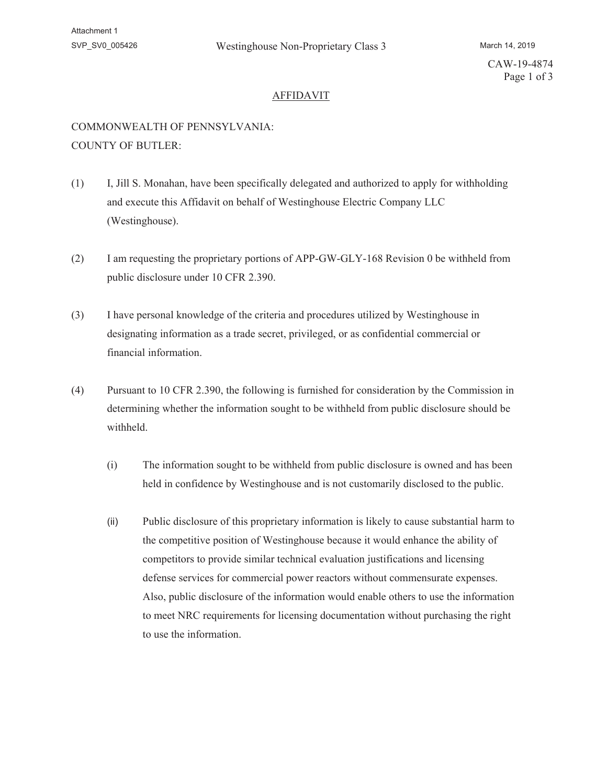CAW-19-4874 Page 1 of 3

### AFFIDAVIT

### COMMONWEALTH OF PENNSYLVANIA: COUNTY OF BUTLER:

- (1) I, Jill S. Monahan, have been specifically delegated and authorized to apply for withholding and execute this Affidavit on behalf of Westinghouse Electric Company LLC (Westinghouse).
- (2) I am requesting the proprietary portions of APP-GW-GLY-168 Revision 0 be withheld from public disclosure under 10 CFR 2.390.
- (3) I have personal knowledge of the criteria and procedures utilized by Westinghouse in designating information as a trade secret, privileged, or as confidential commercial or financial information.
- (4) Pursuant to 10 CFR 2.390, the following is furnished for consideration by the Commission in determining whether the information sought to be withheld from public disclosure should be withheld.
	- (i) The information sought to be withheld from public disclosure is owned and has been held in confidence by Westinghouse and is not customarily disclosed to the public.
	- (ii) Public disclosure of this proprietary information is likely to cause substantial harm to the competitive position of Westinghouse because it would enhance the ability of competitors to provide similar technical evaluation justifications and licensing defense services for commercial power reactors without commensurate expenses. Also, public disclosure of the information would enable others to use the information to meet NRC requirements for licensing documentation without purchasing the right to use the information.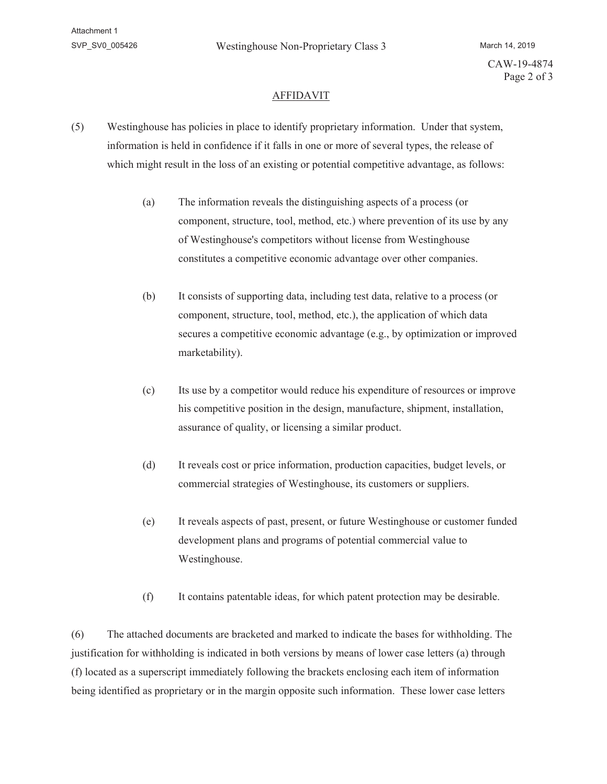#### AFFIDAVIT

- (5) Westinghouse has policies in place to identify proprietary information. Under that system, information is held in confidence if it falls in one or more of several types, the release of which might result in the loss of an existing or potential competitive advantage, as follows:
	- (a) The information reveals the distinguishing aspects of a process (or component, structure, tool, method, etc.) where prevention of its use by any of Westinghouse's competitors without license from Westinghouse constitutes a competitive economic advantage over other companies.
	- (b) It consists of supporting data, including test data, relative to a process (or component, structure, tool, method, etc.), the application of which data secures a competitive economic advantage (e.g., by optimization or improved marketability).
	- (c) Its use by a competitor would reduce his expenditure of resources or improve his competitive position in the design, manufacture, shipment, installation, assurance of quality, or licensing a similar product.
	- (d) It reveals cost or price information, production capacities, budget levels, or commercial strategies of Westinghouse, its customers or suppliers.
	- (e) It reveals aspects of past, present, or future Westinghouse or customer funded development plans and programs of potential commercial value to Westinghouse.
	- (f) It contains patentable ideas, for which patent protection may be desirable.

(6) The attached documents are bracketed and marked to indicate the bases for withholding. The justification for withholding is indicated in both versions by means of lower case letters (a) through (f) located as a superscript immediately following the brackets enclosing each item of information being identified as proprietary or in the margin opposite such information. These lower case letters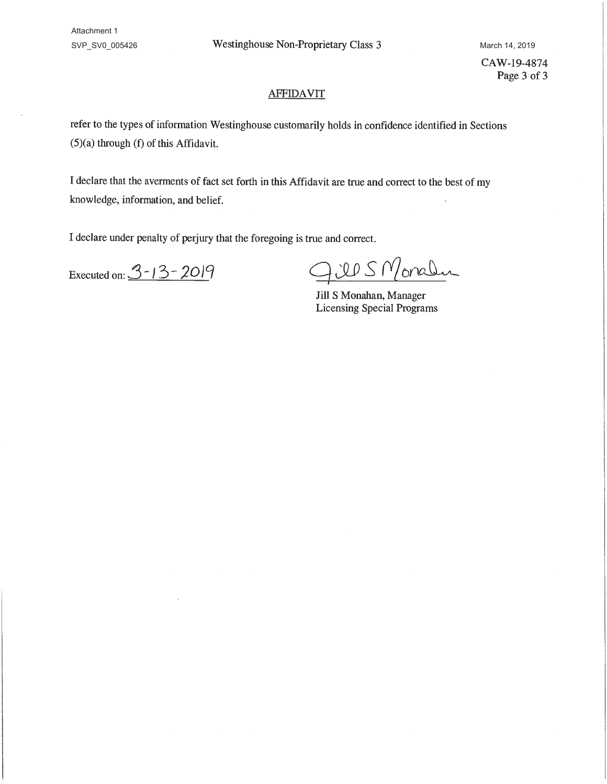Attachment 1

SVP\_SV0\_005426 Mestinghouse Non-Proprietary Class 3 March 14, 2019

CAW-19-4874 Page 3 of 3

### **AFFIDAVIT**

refer to the types of information Westinghouse customarily holds in confidence identified in Sections (5)(a) through (f) of this Affidavit.

I declare that the averments of fact set forth in this Affidavit are true and correct to the best of my knowledge, information, and belief.

I declare under penalty of perjury that the foregoing is true and correct.

Executed on:  $3 - 13 - 2019$ 

US Monaler

Jill S Monahan, Manager Licensing Special Programs